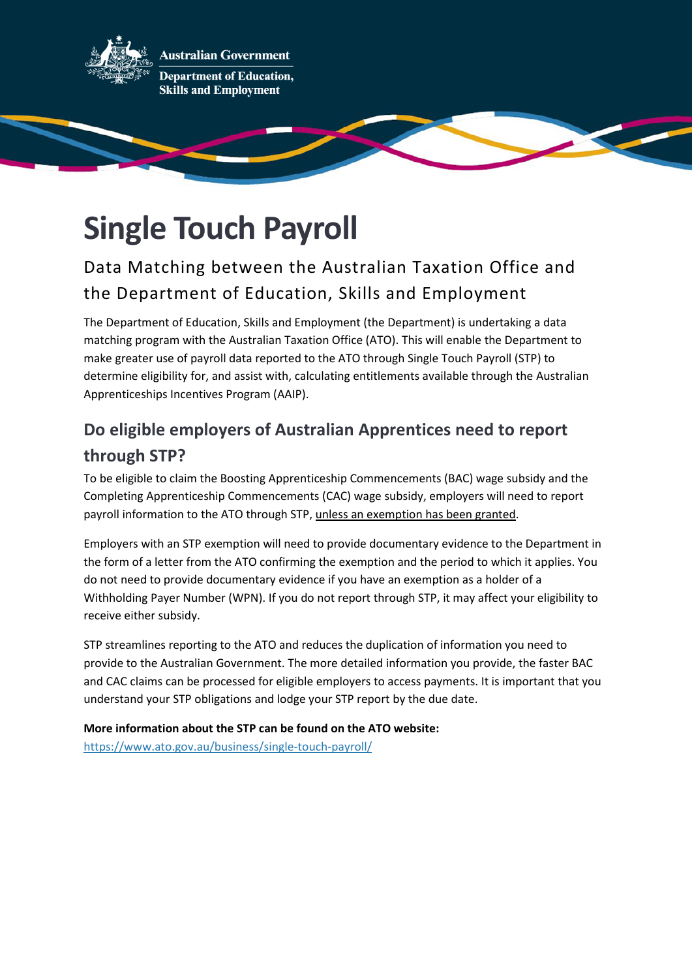

**Australian Government Department of Education, Skills and Employment** 

## **Single Touch Payroll**

## Data Matching between the Australian Taxation Office and the Department of Education, Skills and Employment

The Department of Education, Skills and Employment (the Department) is undertaking a data matching program with the Australian Taxation Office (ATO). This will enable the Department to make greater use of payroll data reported to the ATO through Single Touch Payroll (STP) to determine eligibility for, and assist with, calculating entitlements available through the Australian Apprenticeships Incentives Program (AAIP).

## **Do eligible employers of Australian Apprentices need to report through STP?**

To be eligible to claim the Boosting Apprenticeship Commencements (BAC) wage subsidy and the Completing Apprenticeship Commencements (CAC) wage subsidy, employers will need to report payroll information to the ATO through STP, unless an exemption has been granted.

Employers with an STP exemption will need to provide documentary evidence to the Department in the form of a letter from the ATO confirming the exemption and the period to which it applies. You do not need to provide documentary evidence if you have an exemption as a holder of a Withholding Payer Number (WPN). If you do not report through STP, it may affect your eligibility to receive either subsidy.

STP streamlines reporting to the ATO and reduces the duplication of information you need to provide to the Australian Government. The more detailed information you provide, the faster BAC and CAC claims can be processed for eligible employers to access payments. It is important that you understand your STP obligations and lodge your STP report by the due date.

**More information about the STP can be found on the ATO website:** <https://www.ato.gov.au/business/single-touch-payroll/>